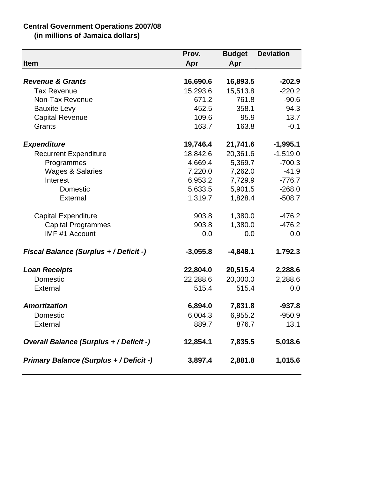## **Central Government Operations 2007/08**

**(in millions of Jamaica dollars)**

| Item                                           | Prov.<br>Apr | <b>Budget</b><br>Apr | <b>Deviation</b> |
|------------------------------------------------|--------------|----------------------|------------------|
|                                                |              |                      |                  |
| <b>Revenue &amp; Grants</b>                    | 16,690.6     | 16,893.5             | $-202.9$         |
| <b>Tax Revenue</b>                             | 15,293.6     | 15,513.8             | $-220.2$         |
| Non-Tax Revenue                                | 671.2        | 761.8                | $-90.6$          |
| <b>Bauxite Levy</b>                            | 452.5        | 358.1                | 94.3             |
| <b>Capital Revenue</b>                         | 109.6        | 95.9                 | 13.7             |
| Grants                                         | 163.7        | 163.8                | $-0.1$           |
| <b>Expenditure</b>                             | 19,746.4     | 21,741.6             | $-1,995.1$       |
| <b>Recurrent Expenditure</b>                   | 18,842.6     | 20,361.6             | $-1,519.0$       |
| Programmes                                     | 4,669.4      | 5,369.7              | $-700.3$         |
| <b>Wages &amp; Salaries</b>                    | 7,220.0      | 7,262.0              | $-41.9$          |
| Interest                                       | 6,953.2      | 7,729.9              | $-776.7$         |
| Domestic                                       | 5,633.5      | 5,901.5              | $-268.0$         |
| External                                       | 1,319.7      | 1,828.4              | $-508.7$         |
| <b>Capital Expenditure</b>                     | 903.8        | 1,380.0              | $-476.2$         |
| <b>Capital Programmes</b>                      | 903.8        | 1,380.0              | $-476.2$         |
| IMF #1 Account                                 | 0.0          | 0.0                  | 0.0              |
| <b>Fiscal Balance (Surplus + / Deficit -)</b>  | $-3,055.8$   | $-4,848.1$           | 1,792.3          |
| <b>Loan Receipts</b>                           | 22,804.0     | 20,515.4             | 2,288.6          |
| Domestic                                       | 22,288.6     | 20,000.0             | 2,288.6          |
| External                                       | 515.4        | 515.4                | 0.0              |
| <b>Amortization</b>                            | 6,894.0      | 7,831.8              | $-937.8$         |
| Domestic                                       | 6,004.3      | 6,955.2              | $-950.9$         |
| External                                       | 889.7        | 876.7                | 13.1             |
| <b>Overall Balance (Surplus + / Deficit -)</b> | 12,854.1     | 7,835.5              | 5,018.6          |
| <b>Primary Balance (Surplus + / Deficit -)</b> | 3,897.4      | 2,881.8              | 1,015.6          |